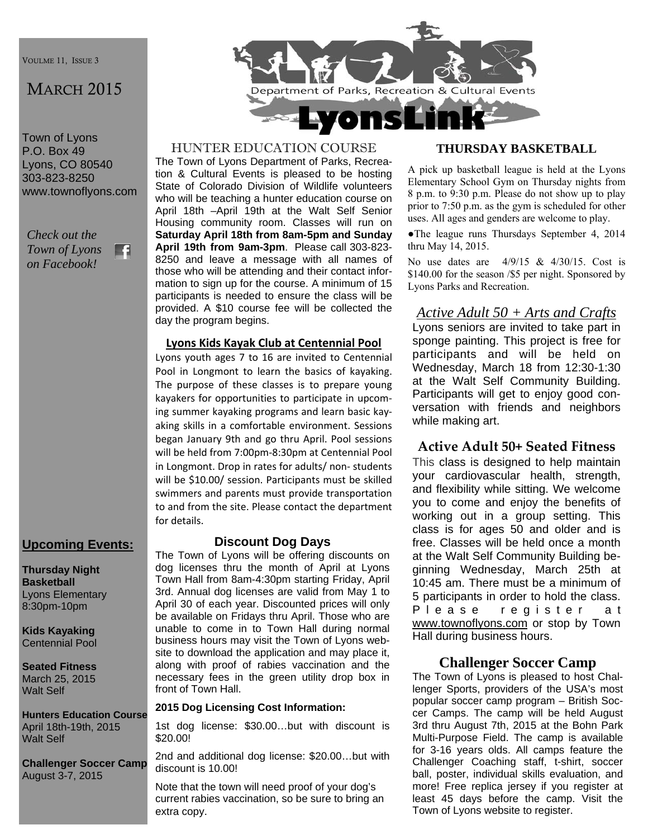VOULME 11, ISSUE 3

## MARCH 2015

Town of Lyons P.O. Box 49 Lyons, CO 80540 303-823-8250 www.townoflyons.com

*Check out the Town of Lyons*  F. *on Facebook!* 

## **Upcoming Events:**

**Thursday Night Basketball**  Lyons Elementary 8:30pm-10pm

**Kids Kayaking**  Centennial Pool

**Seated Fitness**  March 25, 2015 Walt Self

**Hunters Education Course**  April 18th-19th, 2015 Walt Self

**Challenger Soccer Camp**  August 3-7, 2015



#### HUNTER EDUCATION COURSE

The Town of Lyons Department of Parks, Recreation & Cultural Events is pleased to be hosting State of Colorado Division of Wildlife volunteers who will be teaching a hunter education course on April 18th –April 19th at the Walt Self Senior Housing community room. Classes will run on **Saturday April 18th from 8am-5pm and Sunday April 19th from 9am-3pm**. Please call 303-823- 8250 and leave a message with all names of those who will be attending and their contact information to sign up for the course. A minimum of 15 participants is needed to ensure the class will be provided. A \$10 course fee will be collected the day the program begins.

#### **Lyons Kids Kayak Club at Centennial Pool**

Lyons youth ages 7 to 16 are invited to Centennial Pool in Longmont to learn the basics of kayaking. The purpose of these classes is to prepare young kayakers for opportunities to participate in upcom‐ ing summer kayaking programs and learn basic kay‐ aking skills in a comfortable environment. Sessions began January 9th and go thru April. Pool sessions will be held from 7:00pm‐8:30pm at Centennial Pool in Longmont. Drop in rates for adults/ non‐ students will be \$10.00/ session. Participants must be skilled swimmers and parents must provide transportation to and from the site. Please contact the department for details.

## **Discount Dog Days**

The Town of Lyons will be offering discounts on dog licenses thru the month of April at Lyons Town Hall from 8am-4:30pm starting Friday, April 3rd. Annual dog licenses are valid from May 1 to April 30 of each year. Discounted prices will only be available on Fridays thru April. Those who are unable to come in to Town Hall during normal business hours may visit the Town of Lyons website to download the application and may place it, along with proof of rabies vaccination and the necessary fees in the green utility drop box in front of Town Hall.

#### **2015 Dog Licensing Cost Information:**

1st dog license: \$30.00…but with discount is \$20.00!

2nd and additional dog license: \$20.00…but with discount is 10.00!

Note that the town will need proof of your dog's current rabies vaccination, so be sure to bring an extra copy.

#### **THURSDAY BASKETBALL**

A pick up basketball league is held at the Lyons Elementary School Gym on Thursday nights from 8 p.m. to 9:30 p.m. Please do not show up to play prior to 7:50 p.m. as the gym is scheduled for other uses. All ages and genders are welcome to play.

●The league runs Thursdays September 4, 2014 thru May 14, 2015.

No use dates are 4/9/15 & 4/30/15. Cost is \$140.00 for the season /\$5 per night. Sponsored by Lyons Parks and Recreation.

## *Active Adult 50 + Arts and Crafts*

Lyons seniors are invited to take part in sponge painting. This project is free for participants and will be held on Wednesday, March 18 from 12:30-1:30 at the Walt Self Community Building. Participants will get to enjoy good conversation with friends and neighbors while making art.

## **Active Adult 50+ Seated Fitness**

This class is designed to help maintain your cardiovascular health, strength, and flexibility while sitting. We welcome you to come and enjoy the benefits of working out in a group setting. This class is for ages 50 and older and is free. Classes will be held once a month at the Walt Self Community Building beginning Wednesday, March 25th at 10:45 am. There must be a minimum of 5 participants in order to hold the class. P le a s e register at www.townoflyons.com or stop by Town Hall during business hours.

#### **Challenger Soccer Camp**

The Town of Lyons is pleased to host Challenger Sports, providers of the USA's most popular soccer camp program – British Soccer Camps. The camp will be held August 3rd thru August 7th, 2015 at the Bohn Park Multi-Purpose Field. The camp is available for 3-16 years olds. All camps feature the Challenger Coaching staff, t-shirt, soccer ball, poster, individual skills evaluation, and more! Free replica jersey if you register at least 45 days before the camp. Visit the Town of Lyons website to register.